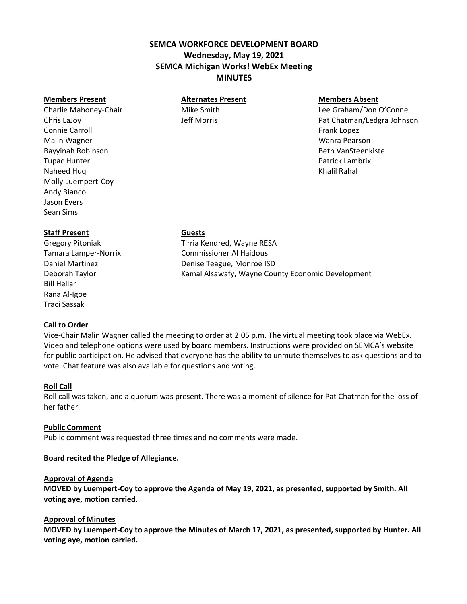# **SEMCA WORKFORCE DEVELOPMENT BOARD Wednesday, May 19, 2021 SEMCA Michigan Works! WebEx Meeting MINUTES**

Connie Carroll **Frank Lopez Connie Carroll** Frank Lopez Malin Wagner Wanra Pearson Bayyinah Robinson **Bayyinah Robinson** Beth VanSteenkiste Tupac Hunter Patrick Lambrix Naheed Huq Khalil Rahal Naheed Huq Khalil Rahal Naheed Huq Khalil Rahal Naheed Huq Khalil Rahal Naheed Huq Khalil Rahal Naheed Huq Khalil Rahal Naheed Huq Khalil Rahal Naheed Huq Khalil Rahal Naheed Huq Khalil Rahal Naheed Molly Luempert-Coy Andy Bianco Jason Evers Sean Sims

# **Members Present Alternates Present Members Absent**

Charlie Mahoney-Chair **Mike Smith** Mike Smith Lee Graham/Don O'Connell Chris LaJoy Jeff Morris Pat Chatman/Ledgra Johnson

# **Staff Present Guests**

Bill Hellar Rana Al-Igoe Traci Sassak

# **Call to Order**

Gregory Pitoniak Tirria Kendred, Wayne RESA Tamara Lamper-Norrix Commissioner Al Haidous Daniel Martinez **Denise Teague, Monroe ISD** Deborah Taylor **Kamal Alsawafy, Wayne County Economic Development** 

Vice-Chair Malin Wagner called the meeting to order at 2:05 p.m. The virtual meeting took place via WebEx. Video and telephone options were used by board members. Instructions were provided on SEMCA's website for public participation. He advised that everyone has the ability to unmute themselves to ask questions and to vote. Chat feature was also available for questions and voting.

# **Roll Call**

Roll call was taken, and a quorum was present. There was a moment of silence for Pat Chatman for the loss of her father.

# **Public Comment**

Public comment was requested three times and no comments were made.

# **Board recited the Pledge of Allegiance.**

# **Approval of Agenda**

**MOVED by Luempert-Coy to approve the Agenda of May 19, 2021, as presented, supported by Smith. All voting aye, motion carried.**

# **Approval of Minutes**

**MOVED by Luempert-Coy to approve the Minutes of March 17, 2021, as presented, supported by Hunter. All voting aye, motion carried.**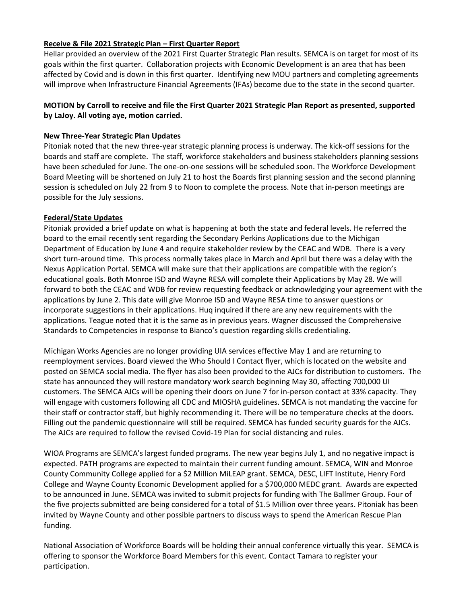# **Receive & File 2021 Strategic Plan – First Quarter Report**

Hellar provided an overview of the 2021 First Quarter Strategic Plan results. SEMCA is on target for most of its goals within the first quarter. Collaboration projects with Economic Development is an area that has been affected by Covid and is down in this first quarter. Identifying new MOU partners and completing agreements will improve when Infrastructure Financial Agreements (IFAs) become due to the state in the second quarter.

# **MOTION by Carroll to receive and file the First Quarter 2021 Strategic Plan Report as presented, supported by LaJoy. All voting aye, motion carried.**

# **New Three-Year Strategic Plan Updates**

Pitoniak noted that the new three-year strategic planning process is underway. The kick-off sessions for the boards and staff are complete. The staff, workforce stakeholders and business stakeholders planning sessions have been scheduled for June. The one-on-one sessions will be scheduled soon. The Workforce Development Board Meeting will be shortened on July 21 to host the Boards first planning session and the second planning session is scheduled on July 22 from 9 to Noon to complete the process. Note that in-person meetings are possible for the July sessions.

# **Federal/State Updates**

Pitoniak provided a brief update on what is happening at both the state and federal levels. He referred the board to the email recently sent regarding the Secondary Perkins Applications due to the Michigan Department of Education by June 4 and require stakeholder review by the CEAC and WDB. There is a very short turn-around time. This process normally takes place in March and April but there was a delay with the Nexus Application Portal. SEMCA will make sure that their applications are compatible with the region's educational goals. Both Monroe ISD and Wayne RESA will complete their Applications by May 28. We will forward to both the CEAC and WDB for review requesting feedback or acknowledging your agreement with the applications by June 2. This date will give Monroe ISD and Wayne RESA time to answer questions or incorporate suggestions in their applications. Huq inquired if there are any new requirements with the applications. Teague noted that it is the same as in previous years. Wagner discussed the Comprehensive Standards to Competencies in response to Bianco's question regarding skills credentialing.

Michigan Works Agencies are no longer providing UIA services effective May 1 and are returning to reemployment services. Board viewed the Who Should I Contact flyer, which is located on the website and posted on SEMCA social media. The flyer has also been provided to the AJCs for distribution to customers. The state has announced they will restore mandatory work search beginning May 30, affecting 700,000 UI customers. The SEMCA AJCs will be opening their doors on June 7 for in-person contact at 33% capacity. They will engage with customers following all CDC and MIOSHA guidelines. SEMCA is not mandating the vaccine for their staff or contractor staff, but highly recommending it. There will be no temperature checks at the doors. Filling out the pandemic questionnaire will still be required. SEMCA has funded security guards for the AJCs. The AJCs are required to follow the revised Covid-19 Plan for social distancing and rules.

WIOA Programs are SEMCA's largest funded programs. The new year begins July 1, and no negative impact is expected. PATH programs are expected to maintain their current funding amount. SEMCA, WIN and Monroe County Community College applied for a \$2 Million MiLEAP grant. SEMCA, DESC, LIFT Institute, Henry Ford College and Wayne County Economic Development applied for a \$700,000 MEDC grant. Awards are expected to be announced in June. SEMCA was invited to submit projects for funding with The Ballmer Group. Four of the five projects submitted are being considered for a total of \$1.5 Million over three years. Pitoniak has been invited by Wayne County and other possible partners to discuss ways to spend the American Rescue Plan funding.

National Association of Workforce Boards will be holding their annual conference virtually this year. SEMCA is offering to sponsor the Workforce Board Members for this event. Contact Tamara to register your participation.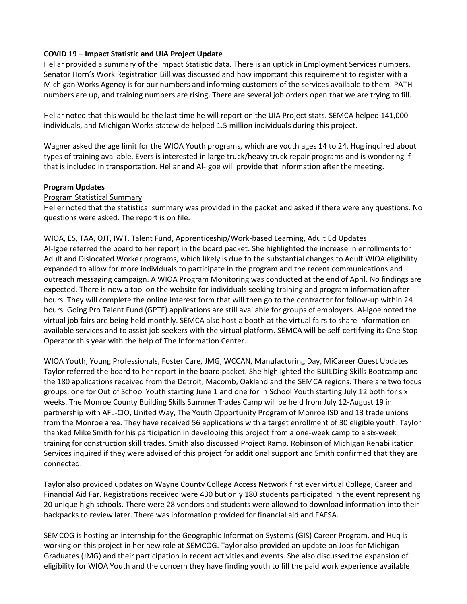# **COVID 19 – Impact Statistic and UIA Project Update**

Hellar provided a summary of the Impact Statistic data. There is an uptick in Employment Services numbers. Senator Horn's Work Registration Bill was discussed and how important this requirement to register with a Michigan Works Agency is for our numbers and informing customers of the services available to them. PATH numbers are up, and training numbers are rising. There are several job orders open that we are trying to fill.

Hellar noted that this would be the last time he will report on the UIA Project stats. SEMCA helped 141,000 individuals, and Michigan Works statewide helped 1.5 million individuals during this project.

Wagner asked the age limit for the WIOA Youth programs, which are youth ages 14 to 24. Hug inquired about types of training available. Evers is interested in large truck/heavy truck repair programs and is wondering if that is included in transportation. Hellar and Al-Igoe will provide that information after the meeting.

# **Program Updates**

# Program Statistical Summary

Heller noted that the statistical summary was provided in the packet and asked if there were any questions. No questions were asked. The report is on file.

# WIOA, ES, TAA, OJT, IWT, Talent Fund, Apprenticeship/Work-based Learning, Adult Ed Updates

Al-Igoe referred the board to her report in the board packet. She highlighted the increase in enrollments for Adult and Dislocated Worker programs, which likely is due to the substantial changes to Adult WIOA eligibility expanded to allow for more individuals to participate in the program and the recent communications and outreach messaging campaign. A WIOA Program Monitoring was conducted at the end of April. No findings are expected. There is now a tool on the website for individuals seeking training and program information after hours. They will complete the online interest form that will then go to the contractor for follow-up within 24 hours. Going Pro Talent Fund (GPTF) applications are still available for groups of employers. Al-Igoe noted the virtual job fairs are being held monthly. SEMCA also host a booth at the virtual fairs to share information on available services and to assist job seekers with the virtual platform. SEMCA will be self-certifying its One Stop Operator this year with the help of The Information Center.

WIOA Youth, Young Professionals, Foster Care, JMG, WCCAN, Manufacturing Day, MiCareer Quest Updates Taylor referred the board to her report in the board packet. She highlighted the BUILDing Skills Bootcamp and the 180 applications received from the Detroit, Macomb, Oakland and the SEMCA regions. There are two focus groups, one for Out of School Youth starting June 1 and one for In School Youth starting July 12 both for six weeks. The Monroe County Building Skills Summer Trades Camp will be held from July 12-August 19 in partnership with AFL-CIO, United Way, The Youth Opportunity Program of Monroe ISD and 13 trade unions from the Monroe area. They have received 56 applications with a target enrollment of 30 eligible youth. Taylor thanked Mike Smith for his participation in developing this project from a one-week camp to a six-week training for construction skill trades. Smith also discussed Project Ramp. Robinson of Michigan Rehabilitation Services inquired if they were advised of this project for additional support and Smith confirmed that they are connected.

Taylor also provided updates on Wayne County College Access Network first ever virtual College, Career and Financial Aid Far. Registrations received were 430 but only 180 students participated in the event representing 20 unique high schools. There were 28 vendors and students were allowed to download information into their backpacks to review later. There was information provided for financial aid and FAFSA.

SEMCOG is hosting an internship for the Geographic Information Systems (GIS) Career Program, and Huq is working on this project in her new role at SEMCOG. Taylor also provided an update on Jobs for Michigan Graduates (JMG) and their participation in recent activities and events. She also discussed the expansion of eligibility for WIOA Youth and the concern they have finding youth to fill the paid work experience available